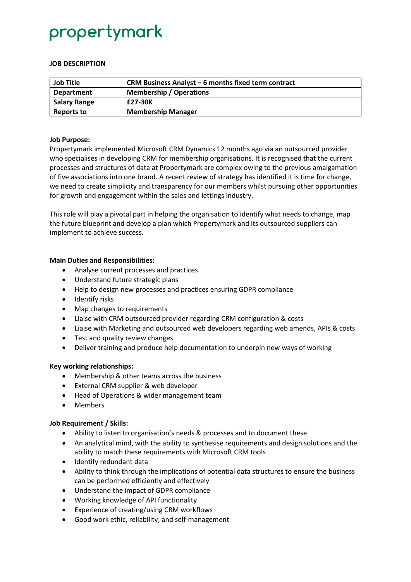## propertymark

#### **JOB DESCRIPTION**

| <b>Job Title</b>    | CRM Business Analyst - 6 months fixed term contract |
|---------------------|-----------------------------------------------------|
| <b>Department</b>   | <b>Membership / Operations</b>                      |
| <b>Salary Range</b> | £27-30K                                             |
| Reports to          | <b>Membership Manager</b>                           |

#### **Job Purpose:**

Propertymark implemented Microsoft CRM Dynamics 12 months ago via an outsourced provider who specialises in developing CRM for membership organisations. It is recognised that the current processes and structures of data at Propertymark are complex owing to the previous amalgamation of five associations into one brand. A recent review of strategy has identified it is time for change, we need to create simplicity and transparency for our members whilst pursuing other opportunities for growth and engagement within the sales and lettings industry.

This role will play a pivotal part in helping the organisation to identify what needs to change, map the future blueprint and develop a plan which Propertymark and its outsourced suppliers can implement to achieve success.

#### **Main Duties and Responsibilities:**

- Analyse current processes and practices
- Understand future strategic plans
- Help to design new processes and practices ensuring GDPR compliance
- Identify risks
- Map changes to requirements
- Liaise with CRM outsourced provider regarding CRM configuration & costs
- Liaise with Marketing and outsourced web developers regarding web amends, APIs & costs
- Test and quality review changes
- Deliver training and produce help documentation to underpin new ways of working

#### **Key working relationships:**

- Membership & other teams across the business
- External CRM supplier & web developer
- Head of Operations & wider management team
- Members

#### **Job Requirement / Skills:**

- Ability to listen to organisation's needs & processes and to document these
- An analytical mind, with the ability to synthesise requirements and design solutions and the ability to match these requirements with Microsoft CRM tools
- Identify redundant data
- Ability to think through the implications of potential data structures to ensure the business can be performed efficiently and effectively
- Understand the impact of GDPR compliance
- Working knowledge of API functionality
- Experience of creating/using CRM workflows
- Good work ethic, reliability, and self-management